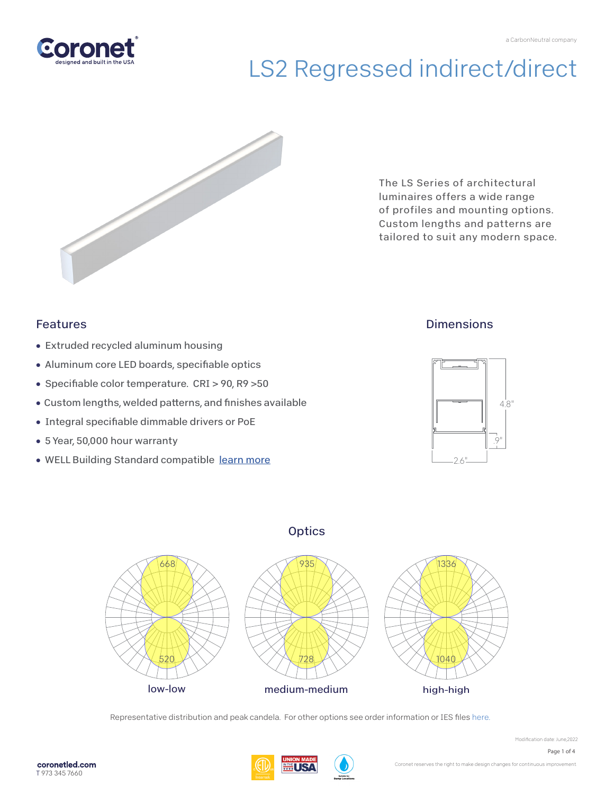



The LS Series of architectural luminaires offers a wide range of profiles and mounting options. Custom lengths and patterns are tailored to suit any modern space.

### Features

- Extruded recycled aluminum housing
- Aluminum core LED boards, specifiable optics
- Specifiable color temperature. CRI > 90, R9 > 50
- Custom lengths, welded patterns, and finishes available
- Integral specifiable dimmable drivers or PoE
- 5 Year, 50,000 hour warranty
- WELL Building Standard compatible [learn more](https://coronetled.com/well-v2-standard/)

### **Dimensions**







Representative distribution and peak candela. For other options see order information or IES files [here.](https://coronetled.com/downloads/)

Modification date: June,2022

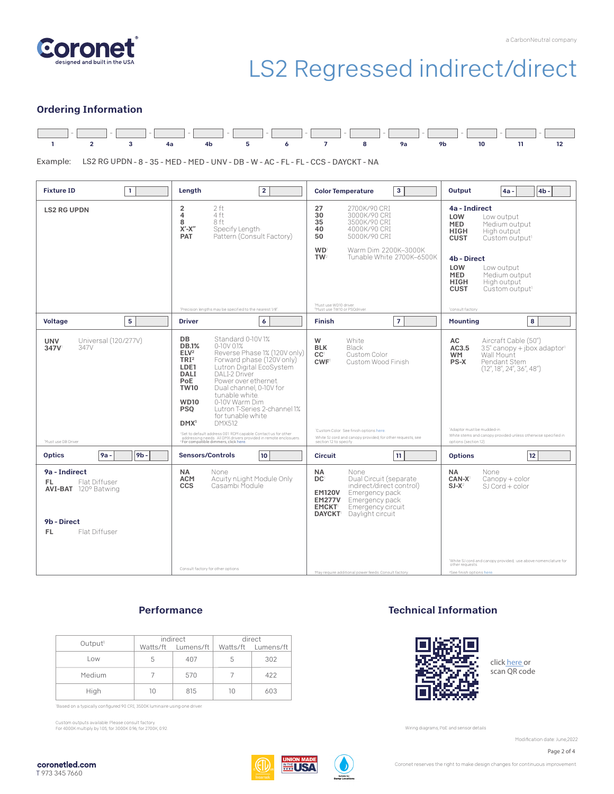

#### Ordering Information



Example: LS2 RG UPDN - 8 - 35 - MED - MED - UNV - DB - W - AC - FL - FL - CCS - DAYCKT - NA

| $\mathbf{1}$<br><b>Fixture ID</b>                                                                           | Length<br>$\overline{2}$                                                                                                                                                                                                                                                                                                                                                                                                                                                                                                                                                                                                                             | 3<br><b>Color Temperature</b>                                                                                                                                                                                                              | Output<br>4 <sub>b</sub><br>4a -                                                                                                                                                                                                                                               |  |
|-------------------------------------------------------------------------------------------------------------|------------------------------------------------------------------------------------------------------------------------------------------------------------------------------------------------------------------------------------------------------------------------------------------------------------------------------------------------------------------------------------------------------------------------------------------------------------------------------------------------------------------------------------------------------------------------------------------------------------------------------------------------------|--------------------------------------------------------------------------------------------------------------------------------------------------------------------------------------------------------------------------------------------|--------------------------------------------------------------------------------------------------------------------------------------------------------------------------------------------------------------------------------------------------------------------------------|--|
| <b>LS2 RG UPDN</b>                                                                                          | 2 ft<br>2<br>4<br>4 ft<br>8 ft<br>8<br>$X'$ - $X''$<br>Specify Length<br>Pattern (Consult Factory)<br><b>PAT</b>                                                                                                                                                                                                                                                                                                                                                                                                                                                                                                                                     | 27<br>2700K/90 CRI<br>30<br>3000K/90 CRI<br>35<br>3500K/90 CRI<br>40<br>4000K/90 CRI<br>50<br>5000K/90 CRI                                                                                                                                 | 4a - Indirect<br>LOW<br>Low output<br><b>MED</b><br>Medium output<br><b>HIGH</b><br>High output<br><b>CUST</b><br>Custom output <sup>1</sup>                                                                                                                                   |  |
|                                                                                                             |                                                                                                                                                                                                                                                                                                                                                                                                                                                                                                                                                                                                                                                      | <b>WD</b><br>Warm Dim 2200K-3000K<br>TW <sup>2</sup><br>Tunable White 2700K-6500K                                                                                                                                                          | 4b - Direct<br>LOW<br>Low output<br><b>MED</b><br>Medium output<br><b>HIGH</b><br>High output<br><b>CUST</b><br>Custom output <sup>1</sup>                                                                                                                                     |  |
|                                                                                                             | 'Precision lengths may be specified to the nearest 1/8".                                                                                                                                                                                                                                                                                                                                                                                                                                                                                                                                                                                             | 'Must use WD10 driver.<br><sup>2</sup> Must use TW10 or PSQdriver.                                                                                                                                                                         | 'consult factory                                                                                                                                                                                                                                                               |  |
| 5<br><b>Voltage</b>                                                                                         | <b>Driver</b><br>6                                                                                                                                                                                                                                                                                                                                                                                                                                                                                                                                                                                                                                   | $\overline{7}$<br><b>Finish</b>                                                                                                                                                                                                            | 8<br>Mounting                                                                                                                                                                                                                                                                  |  |
| Universal (120/277V)<br><b>UNV</b><br>347V<br>347V<br><sup>1</sup> Must use DB Driver                       | DB<br>Standard 0-10V1%<br><b>DB.1%</b><br>0-10V 0.1%<br>ELV <sup>2</sup><br>Reverse Phase 1% (120V only)<br>TRI <sup>2</sup><br>Forward phase (120V only)<br>Lutron Digital EcoSystem<br>LDE1<br>DAI I-2 Driver<br>DALI<br>PoE<br>Power over ethernet.<br><b>TW10</b><br>Dual channel, 0-10V for<br>tunable white.<br>0-10V Warm Dim<br><b>WD10</b><br>Lutron T-Series 2-channel 1%<br><b>PSO</b><br>for tunable white<br><b>DMX512</b><br>DMX <sup>1</sup><br>'Set to default address 001.RDM capable. Contact us for other<br>addressing needs. All DMX drivers provided in remote enclosuers.<br><sup>2</sup> For compatible dimmers, click here, | W<br>White<br><b>BLK</b><br>Black<br>CC <sup>1</sup><br>Custom Color<br><b>CWF</b><br>Custom Wood Finish<br>'Custom Color. See finish options here.<br>White SJ cord and canopy provided; for other requests, see<br>section 12 to specify | Aircraft Cable (50")<br>AC<br>3.5" canopy + jbox adaptor<br>AC3.5<br>Wall Mount<br><b>WM</b><br>PS-X<br>Pendant Stem<br>(12'', 18'', 24'', 36'', 48'')<br>'Adaptor must be mudded-in<br>White stems and canopy provided unless otherwise specified in<br>options (section 12). |  |
| <b>Optics</b><br>9 <sub>b</sub><br>9a -                                                                     | <b>Sensors/Controls</b><br>10 <sub>10</sub>                                                                                                                                                                                                                                                                                                                                                                                                                                                                                                                                                                                                          | 11<br><b>Circuit</b>                                                                                                                                                                                                                       | 12<br><b>Options</b>                                                                                                                                                                                                                                                           |  |
| 9a - Indirect<br>Flat Diffuser<br>FL.<br><b>AVI-BAT</b> 120° Batwing<br>9b - Direct<br>Flat Diffuser<br>FL. | NA.<br>None<br>Acuity nLight Module Only<br><b>ACM</b><br>Casambi Module<br><b>CCS</b><br>Consult factory for other options.                                                                                                                                                                                                                                                                                                                                                                                                                                                                                                                         | <b>NA</b><br>None<br>DC <sup>1</sup><br>Dual Circuit (separate<br>indirect/direct control)<br>Emergency pack<br><b>EM120V</b><br><b>EM277V</b><br>Emergency pack<br><b>EMCKT</b><br>Emergency circuit<br><b>DAYCKT</b> Daylight circuit    | <b>NA</b><br>None<br>CAN-X<br>$Canopy + color$<br>$SI-X^2$<br>$SI$ Cord + color<br>White SJ cord and canopy provided; use above nomenclature for<br>other requests.                                                                                                            |  |
|                                                                                                             |                                                                                                                                                                                                                                                                                                                                                                                                                                                                                                                                                                                                                                                      | 'May require additional power feeds. Consult factory                                                                                                                                                                                       | <sup>2</sup> See finish options here.                                                                                                                                                                                                                                          |  |

### **Performance**

| Output <sup>1</sup> | indirect |                    | direct |                    |
|---------------------|----------|--------------------|--------|--------------------|
|                     |          | Watts/ft Lumens/ft |        | Watts/ft Lumens/ft |
| Low                 | 5.       | 407                | 5      | 302                |
| Medium              |          | 570                |        | 422                |
| High                | 1Λ       | 815                | 10     | 603                |

Based on a typically configured 90 CRI, 3500K luminaire using one driver.

Custom outputs available. Please consult factory. For 4000K multiply by 1.05; for 3000K 0.96; for 2700K, 0.92.

### Technical Information



click [here or](https://coronetled.com/warranty-technical-info/) scan QR code

Wiring diagrams, PoE and sensor details

Modification date: June.2022



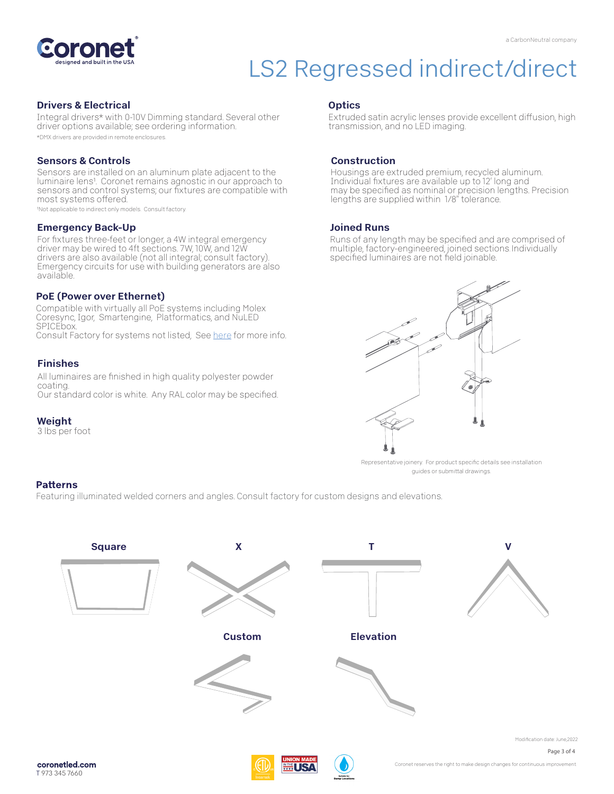

#### Drivers & Electrical

Integral drivers\* with 0-10V Dimming standard. Several other driver options available; see ordering information. \*DMX drivers are provided in remote enclosures.

#### Sensors & Controls

Sensors are installed on an aluminum plate adjacent to the luminaire lens<sup>1</sup>. Coronet remains agnostic in our approach to sensors and control systems; our fixtures are compatible with most systems offered.

1Not applicable to indirect only models. Consult factory.

#### Emergency Back-Up

For fixtures three-feet or longer, a 4W integral emergency driver may be wired to 4ft sections. 7W, 10W, and 12W drivers are also available (not all integral; consult factory). Emergency circuits for use with building generators are also available.

#### PoE (Power over Ethernet)

Compatible with virtually all PoE systems including Molex Coresync, Igor, Smartengine, Platformatics, and NuLED SPICEbox. Consult Factory for systems not listed, See [here f](https://coronetled.com/warranty-technical-info/)or more info.

#### Finishes

All luminaires are finished in high quality polyester powder coating. Our standard color is white. Any RAL color may be specified.

#### Weight

3 lbs per foot

#### **Optics**

Extruded satin acrylic lenses provide excellent diffusion, high transmission, and no LED imaging.

#### Construction

Housings are extruded premium, recycled aluminum. Individual fixtures are available up to 12' long and may be specified as nominal or precision lengths. Precision lengths are supplied within 1/8" tolerance.

#### Joined Runs

Runs of any length may be specified and are comprised of multiple, factory-engineered, joined sections. Individually specified luminaires are not field joinable.



Representative joinery. For product specific details see installation guides or submittal drawings.

#### **Patterns**

Featuring illuminated welded corners and angles. Consult factory for custom designs and elevations.